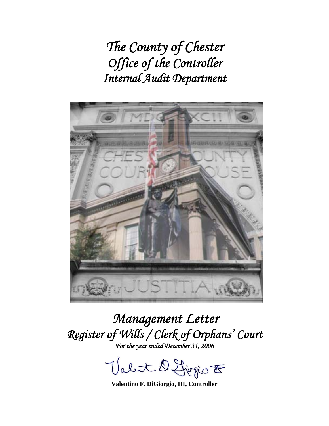*The County of Chester Office of the Controller Internal Audit Department* 



# *Management Letter Register of Wills / Clerk of Orphans' Court For the year ended December 31, 2006*

Valut 2. Liegio  $\overline{\mathcal{B}}$ 

**Valentino F. DiGiorgio, III, Controller**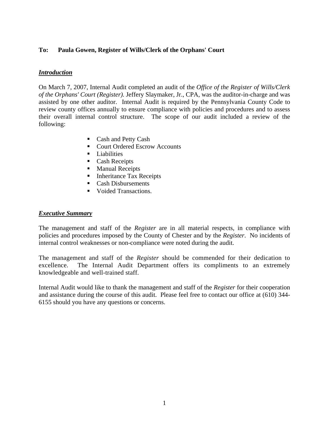# **To: Paula Gowen, Register of Wills/Clerk of the Orphans' Court**

## *Introduction*

On March 7, 2007, Internal Audit completed an audit of the *Office of the Register of Wills/Clerk of the Orphans' Court (Register).* Jeffery Slaymaker, Jr., CPA, was the auditor-in-charge and was assisted by one other auditor. Internal Audit is required by the Pennsylvania County Code to review county offices annually to ensure compliance with policies and procedures and to assess their overall internal control structure. The scope of our audit included a review of the following:

- Cash and Petty Cash
- Court Ordered Escrow Accounts
- **Liabilities**
- Cash Receipts
- **Manual Receipts**
- Inheritance Tax Receipts
- Cash Disbursements
- Voided Transactions.

#### *Executive Summary*

The management and staff of the *Register* are in all material respects, in compliance with policies and procedures imposed by the County of Chester and by the *Register*. No incidents of internal control weaknesses or non-compliance were noted during the audit.

The management and staff of the *Register* should be commended for their dedication to excellence. The Internal Audit Department offers its compliments to an extremely knowledgeable and well-trained staff.

Internal Audit would like to thank the management and staff of the *Register* for their cooperation and assistance during the course of this audit. Please feel free to contact our office at (610) 344- 6155 should you have any questions or concerns.